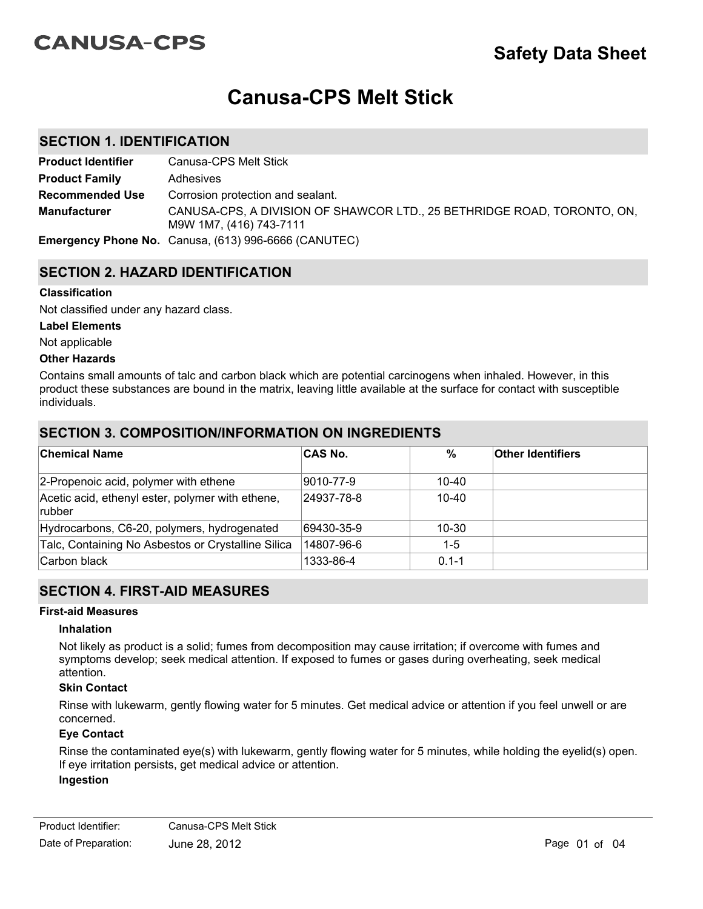# **CANUSA-CPS**

# **Canusa-CPS Melt Stick**

## **SECTION 1. IDENTIFICATION**

| <b>Product Identifier</b> | Canusa-CPS Melt Stick                                                                              |
|---------------------------|----------------------------------------------------------------------------------------------------|
| <b>Product Family</b>     | Adhesives                                                                                          |
| <b>Recommended Use</b>    | Corrosion protection and sealant.                                                                  |
| <b>Manufacturer</b>       | CANUSA-CPS, A DIVISION OF SHAWCOR LTD., 25 BETHRIDGE ROAD, TORONTO, ON,<br>M9W 1M7, (416) 743-7111 |
|                           | <b>Emergency Phone No.</b> Canusa, (613) 996-6666 (CANUTEC)                                        |

## **SECTION 2. HAZARD IDENTIFICATION**

#### **Classification**

Not classified under any hazard class.

#### **Label Elements**

Not applicable

#### **Other Hazards**

Contains small amounts of talc and carbon black which are potential carcinogens when inhaled. However, in this product these substances are bound in the matrix, leaving little available at the surface for contact with susceptible individuals.

## **SECTION 3. COMPOSITION/INFORMATION ON INGREDIENTS**

| <b>Chemical Name</b>                                       | <b>CAS No.</b> | %         | <b>Other Identifiers</b> |
|------------------------------------------------------------|----------------|-----------|--------------------------|
| 2-Propenoic acid, polymer with ethene                      | 9010-77-9      | 10-40     |                          |
| Acetic acid, ethenyl ester, polymer with ethene,<br>rubber | 24937-78-8     | $10 - 40$ |                          |
| Hydrocarbons, C6-20, polymers, hydrogenated                | 69430-35-9     | 10-30     |                          |
| Talc, Containing No Asbestos or Crystalline Silica         | 14807-96-6     | 1-5       |                          |
| Carbon black                                               | 1333-86-4      | $0.1 - 1$ |                          |

## **SECTION 4. FIRST-AID MEASURES**

#### **First-aid Measures**

#### **Inhalation**

Not likely as product is a solid; fumes from decomposition may cause irritation; if overcome with fumes and symptoms develop; seek medical attention. If exposed to fumes or gases during overheating, seek medical attention.

#### **Skin Contact**

Rinse with lukewarm, gently flowing water for 5 minutes. Get medical advice or attention if you feel unwell or are concerned.

#### **Eye Contact**

Rinse the contaminated eye(s) with lukewarm, gently flowing water for 5 minutes, while holding the eyelid(s) open. If eye irritation persists, get medical advice or attention.

#### **Ingestion**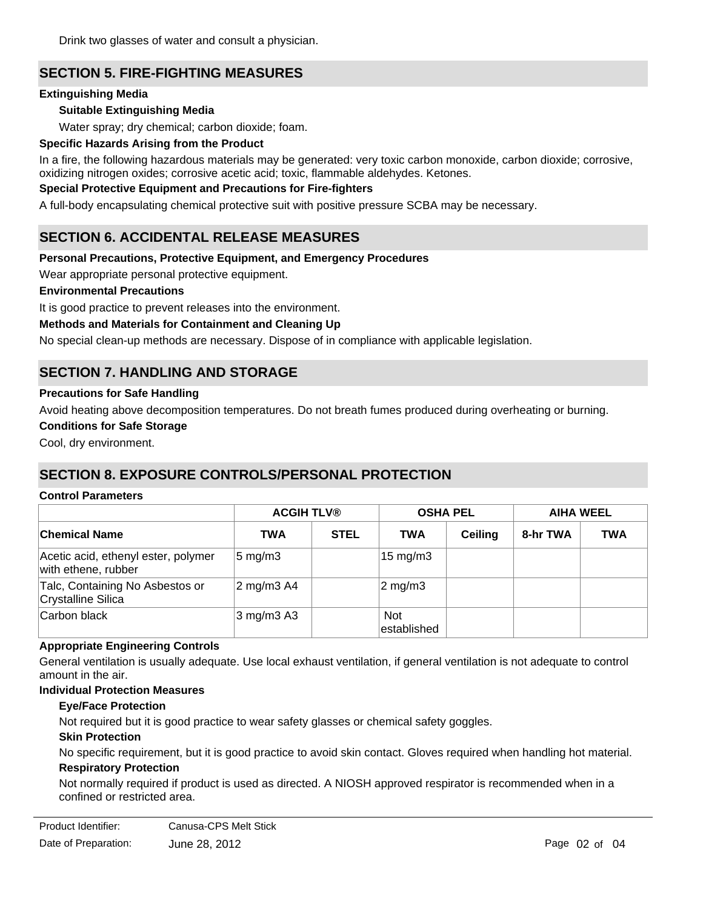Drink two glasses of water and consult a physician.

# **SECTION 5. FIRE-FIGHTING MEASURES**

#### **Extinguishing Media**

#### **Suitable Extinguishing Media**

Water spray; dry chemical; carbon dioxide; foam.

#### **Specific Hazards Arising from the Product**

In a fire, the following hazardous materials may be generated: very toxic carbon monoxide, carbon dioxide; corrosive, oxidizing nitrogen oxides; corrosive acetic acid; toxic, flammable aldehydes. Ketones.

#### **Special Protective Equipment and Precautions for Fire-fighters**

A full-body encapsulating chemical protective suit with positive pressure SCBA may be necessary.

## **SECTION 6. ACCIDENTAL RELEASE MEASURES**

#### **Personal Precautions, Protective Equipment, and Emergency Procedures**

Wear appropriate personal protective equipment.

#### **Environmental Precautions**

It is good practice to prevent releases into the environment.

#### **Methods and Materials for Containment and Cleaning Up**

No special clean-up methods are necessary. Dispose of in compliance with applicable legislation.

# **SECTION 7. HANDLING AND STORAGE**

#### **Precautions for Safe Handling**

Avoid heating above decomposition temperatures. Do not breath fumes produced during overheating or burning.

#### **Conditions for Safe Storage**

Cool, dry environment.

## **SECTION 8. EXPOSURE CONTROLS/PERSONAL PROTECTION**

#### **Control Parameters**

|                                                            | <b>ACGIH TLV®</b>  |             |                     | <b>OSHA PEL</b> | <b>AIHA WEEL</b> |            |
|------------------------------------------------------------|--------------------|-------------|---------------------|-----------------|------------------|------------|
| ∣Chemical Name                                             | <b>TWA</b>         | <b>STEL</b> | <b>TWA</b>          | <b>Ceiling</b>  | 8-hr TWA         | <b>TWA</b> |
| Acetic acid, ethenyl ester, polymer<br>with ethene, rubber | $5 \text{ mg/m}$ 3 |             | $15 \text{ mg/m}$ 3 |                 |                  |            |
| Talc, Containing No Asbestos or<br>Crystalline Silica      | 2 mg/m3 A4         |             | $ 2 \text{ mg/m}$ 3 |                 |                  |            |
| Carbon black                                               | $3$ mg/m $3$ A $3$ |             | Not<br>established  |                 |                  |            |

#### **Appropriate Engineering Controls**

General ventilation is usually adequate. Use local exhaust ventilation, if general ventilation is not adequate to control amount in the air.

#### **Individual Protection Measures**

#### **Eye/Face Protection**

Not required but it is good practice to wear safety glasses or chemical safety goggles.

#### **Skin Protection**

No specific requirement, but it is good practice to avoid skin contact. Gloves required when handling hot material.

#### **Respiratory Protection**

Not normally required if product is used as directed. A NIOSH approved respirator is recommended when in a confined or restricted area.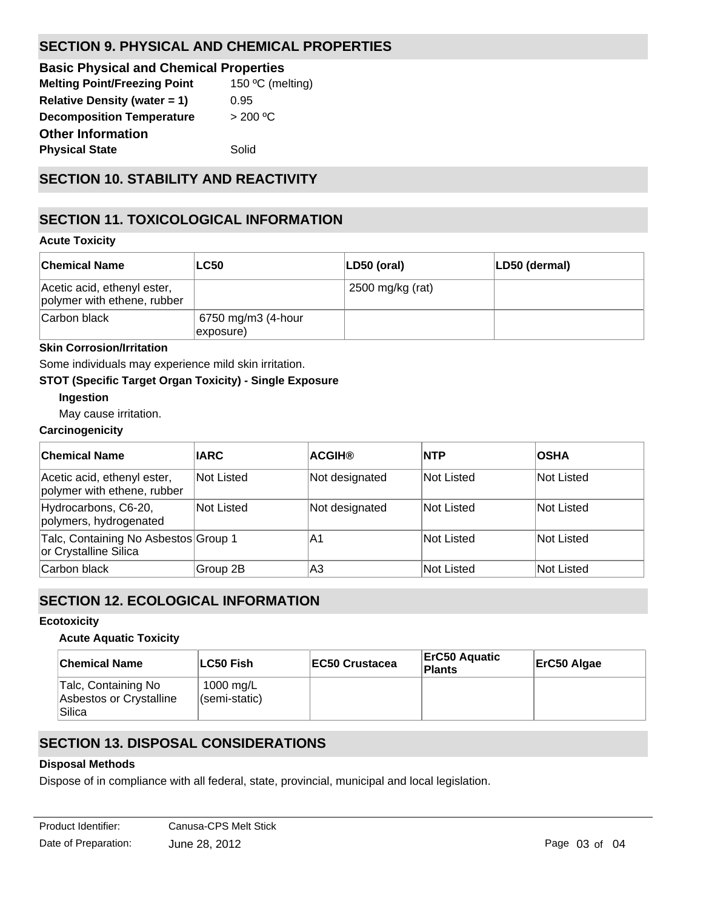# **SECTION 9. PHYSICAL AND CHEMICAL PROPERTIES**

| <b>Basic Physical and Chemical Properties</b> |                  |
|-----------------------------------------------|------------------|
| <b>Melting Point/Freezing Point</b>           | 150 °C (melting) |
| <b>Relative Density (water = 1)</b>           | 0.95             |
| <b>Decomposition Temperature</b>              | > 200 °C         |
| <b>Other Information</b>                      |                  |
| <b>Physical State</b>                         | Solid            |
|                                               |                  |

# **SECTION 10. STABILITY AND REACTIVITY**

# **SECTION 11. TOXICOLOGICAL INFORMATION**

## **Acute Toxicity**

| ∣Chemical Name                                             | <b>LC50</b>                     | $ LD50$ (oral)   | LD50 (dermal) |
|------------------------------------------------------------|---------------------------------|------------------|---------------|
| Acetic acid, ethenyl ester,<br>polymer with ethene, rubber |                                 | 2500 mg/kg (rat) |               |
| Carbon black                                               | 6750 mg/m3 (4-hour<br>exposure) |                  |               |

## **Skin Corrosion/Irritation**

Some individuals may experience mild skin irritation.

## **STOT (Specific Target Organ Toxicity) - Single Exposure**

## **Ingestion**

May cause irritation.

## **Carcinogenicity**

| <b>Chemical Name</b>                                          | <b>IARC</b> | <b>ACGIH®</b>  | <b>INTP</b>       | <b>OSHA</b>       |
|---------------------------------------------------------------|-------------|----------------|-------------------|-------------------|
| Acetic acid, ethenyl ester,<br>polymer with ethene, rubber    | Not Listed  | Not designated | Not Listed        | Not Listed        |
| Hydrocarbons, C6-20,<br>polymers, hydrogenated                | Not Listed  | Not designated | <b>Not Listed</b> | <b>Not Listed</b> |
| Talc, Containing No Asbestos Group 1<br>or Crystalline Silica |             | A1             | <b>Not Listed</b> | <b>Not Listed</b> |
| Carbon black                                                  | Group 2B    | lA3            | Not Listed        | Not Listed        |

# **SECTION 12. ECOLOGICAL INFORMATION**

## **Ecotoxicity**

## **Acute Aquatic Toxicity**

| <b>Chemical Name</b>                                     | ∣LC50 Fish                 | <b>IEC50 Crustacea</b> | <b>ErC50 Aquatic</b><br>Plants | ErC50 Algae |
|----------------------------------------------------------|----------------------------|------------------------|--------------------------------|-------------|
| Talc, Containing No<br>Asbestos or Crystalline<br>Silica | 1000 mg/L<br>(semi-static) |                        |                                |             |

# **SECTION 13. DISPOSAL CONSIDERATIONS**

## **Disposal Methods**

Dispose of in compliance with all federal, state, provincial, municipal and local legislation.